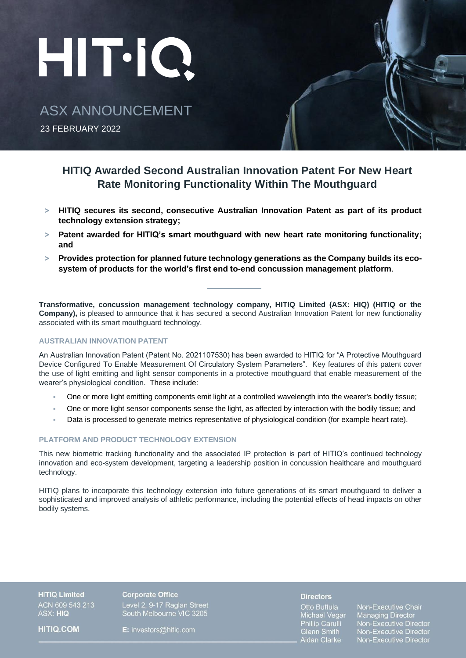# HIT-IQ.

ASX ANNOUNCEMENT

23 FEBRUARY 2022

# **HITIQ Awarded Second Australian Innovation Patent For New Heart Rate Monitoring Functionality Within The Mouthguard**

- **> HITIQ secures its second, consecutive Australian Innovation Patent as part of its product technology extension strategy;**
- **> Patent awarded for HITIQ's smart mouthguard with new heart rate monitoring functionality; and**
- **> Provides protection for planned future technology generations as the Company builds its ecosystem of products for the world's first end to-end concussion management platform**.

**Transformative, concussion management technology company, HITIQ Limited (ASX: HIQ) (HITIQ or the Company),** is pleased to announce that it has secured a second Australian Innovation Patent for new functionality associated with its smart mouthguard technology.

## **AUSTRALIAN INNOVATION PATENT**

An Australian Innovation Patent (Patent No. 2021107530) has been awarded to HITIQ for "A Protective Mouthguard Device Configured To Enable Measurement Of Circulatory System Parameters". Key features of this patent cover the use of light emitting and light sensor components in a protective mouthguard that enable measurement of the wearer's physiological condition. These include:

- One or more light emitting components emit light at a controlled wavelength into the wearer's bodily tissue;
- One or more light sensor components sense the light, as affected by interaction with the bodily tissue; and
- Data is processed to generate metrics representative of physiological condition (for example heart rate).

# **PLATFORM AND PRODUCT TECHNOLOGY EXTENSION**

This new biometric tracking functionality and the associated IP protection is part of HITIQ's continued technology innovation and eco-system development, targeting a leadership position in concussion healthcare and mouthguard technology.

HITIQ plans to incorporate this technology extension into future generations of its smart mouthguard to deliver a sophisticated and improved analysis of athletic performance, including the potential effects of head impacts on other bodily systems.

**HITIQ Limited** ACN 609 543 213 ASX: HIQ

**HITIQ.COM** 

**Corporate Office** Level 2, 9-17 Raglan Street<br>South Melbourne VIC 3205

E: investors@hitig.com

#### **Directors**

Otto Buttula Michael Vegar Phillip Carulli Glenn Smith<br>Aidan Clarke

Non-Executive Chair **Managing Director** Non-Executive Director<br>Non-Executive Director Non-Executive Director<br>Non-Executive Director